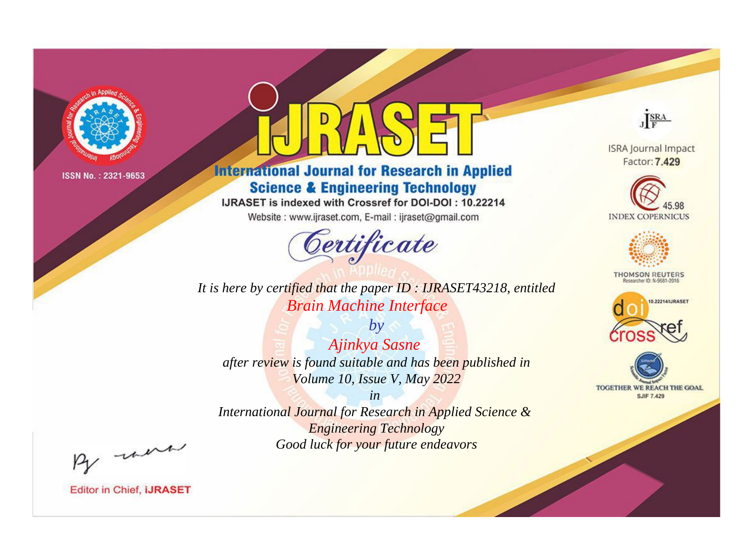

# **International Journal for Research in Applied Science & Engineering Technology**

IJRASET is indexed with Crossref for DOI-DOI: 10.22214

Website: www.ijraset.com, E-mail: ijraset@gmail.com



It is here by certified that the paper ID: IJRASET43218, entitled **Brain Machine Interface** 

 $by$ Ajinkya Sasne after review is found suitable and has been published in Volume 10, Issue V, May 2022

 $in$ International Journal for Research in Applied Science & **Engineering Technology** Good luck for your future endeavors



**ISRA Journal Impact** Factor: 7.429





**THOMSON REUTERS** 



TOGETHER WE REACH THE GOAL **SJIF 7.429** 

By morn

**Editor in Chief, IJRASET**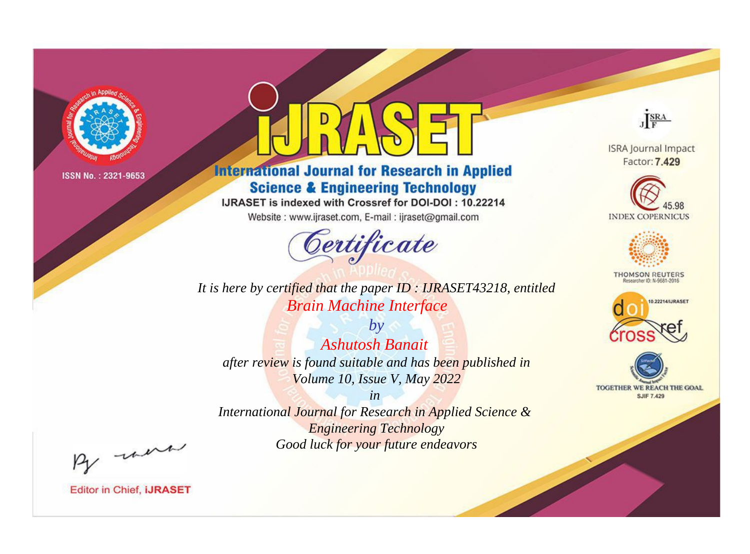

# **International Journal for Research in Applied Science & Engineering Technology**

IJRASET is indexed with Crossref for DOI-DOI: 10.22214

Website: www.ijraset.com, E-mail: ijraset@gmail.com



It is here by certified that the paper ID: IJRASET43218, entitled **Brain Machine Interface** 

 $b\nu$ **Ashutosh Banait** after review is found suitable and has been published in Volume 10, Issue V, May 2022

 $in$ International Journal for Research in Applied Science & **Engineering Technology** Good luck for your future endeavors



**ISRA Journal Impact** Factor: 7.429





**THOMSON REUTERS** 



TOGETHER WE REACH THE GOAL **SJIF 7.429** 

By morn

**Editor in Chief, IJRASET**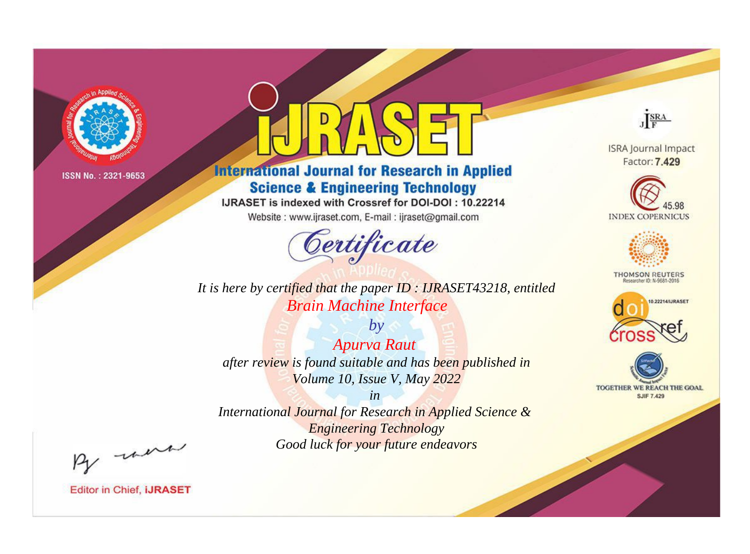

# **International Journal for Research in Applied Science & Engineering Technology**

IJRASET is indexed with Crossref for DOI-DOI: 10.22214

Website: www.ijraset.com, E-mail: ijraset@gmail.com



*It is here by certified that the paper ID : IJRASET43218, entitled Brain Machine Interface*

*by Apurva Raut after review is found suitable and has been published in Volume 10, Issue V, May 2022*

*in International Journal for Research in Applied Science & Engineering Technology Good luck for your future endeavors*



**Editor in Chief, IJRASET** 

**ISRA Journal Impact** Factor: 7.429

JERA





**THOMSON REUTERS** 



TOGETHER WE REACH THE GOAL **SJIF 7.429**